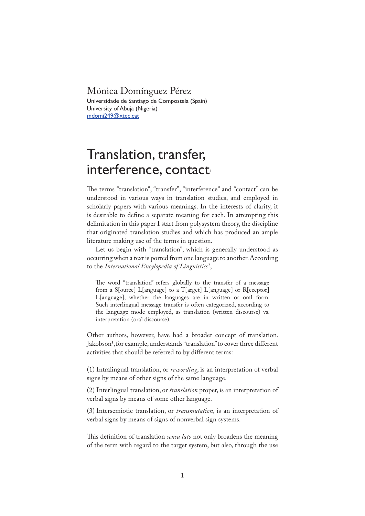## Mónica Domínguez Pérez

Universidade de Santiago de Compostela (Spain) University of Abuja (Nigeria) mdomi249@xtec.cat

## Translation, transfer, interference, contact

�e terms "translation", "transfer", "interference" and "contact" can be understood in various ways in translation studies, and employed in scholarly papers with various meanings. In the interests of clarity, it is desirable to define a separate meaning for each. In attempting this delimitation in this paper I start from polysystem theory, the discipline that originated translation studies and which has produced an ample literature making use of the terms in question.

Let us begin with "translation", which is generally understood as occurring when a text is ported from one language to another. According to the *International Encylopedia of Linguistics* <sup>2</sup> ,

The word "translation" refers globally to the transfer of a message from a S[ource] L[anguage] to a T[arget] L[anguage] or R[eceptor] L[anguage], whether the languages are in written or oral form. Such interlingual message transfer is often categorized, according to the language mode employed, as translation (written discourse) vs. interpretation (oral discourse).

Other authors, however, have had a broader concept of translation. Jakobson<sup>3</sup> , for example, understands "translation" to cover three different activities that should be referred to by different terms:

(1) Intralingual translation, or *rewording*, is an interpretation of verbal signs by means of other signs of the same language.

(2) Interlingual translation, or *translation* proper, is an interpretation of verbal signs by means of some other language.

(3) Intersemiotic translation, or *transmutation*, is an interpretation of verbal signs by means of signs of nonverbal sign systems.

This definition of translation *sensu lato* not only broadens the meaning of the term with regard to the target system, but also, through the use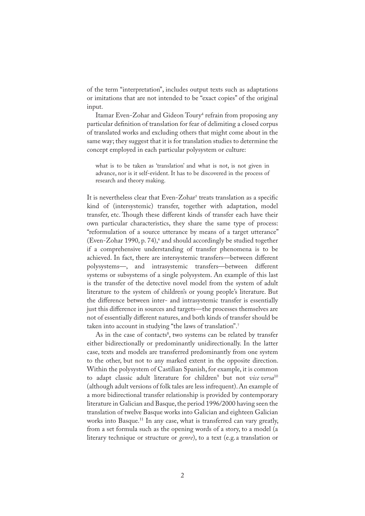of the term "interpretation", includes output texts such as adaptations or imitations that are not intended to be "exact copies" of the original input.

Itamar Even-Zohar and Gideon Toury<sup>4</sup> refrain from proposing any particular definition of translation for fear of delimiting a closed corpus of translated works and excluding others that might come about in the same way; they suggest that it is for translation studies to determine the concept employed in each particular polysystem or culture:

what is to be taken as 'translation' and what is not, is not given in advance, nor is it self-evident. It has to be discovered in the process of research and theory making.

It is nevertheless clear that Even-Zohar<sup>5</sup> treats translation as a specific kind of (intersystemic) transfer, together with adaptation, model transfer, etc. Though these different kinds of transfer each have their own particular characteristics, they share the same type of process: "reformulation of a source utterance by means of a target utterance" (Even-Zohar 1990, p. 74),<sup>6</sup> and should accordingly be studied together if a comprehensive understanding of transfer phenomena is to be achieved. In fact, there are intersystemic transfers—between different polysystems—, and intrasystemic transfers—between different systems or subsystems of a single polysystem. An example of this last is the transfer of the detective novel model from the system of adult literature to the system of children's or young people's literature. But the difference between inter- and intrasystemic transfer is essentially just this difference in sources and targets—the processes themselves are not of essentially different natures, and both kinds of transfer should be taken into account in studying "the laws of translation".<sup>7</sup>

As in the case of contacts<sup>8</sup>, two systems can be related by transfer either bidirectionally or predominantly unidirectionally. In the latter case, texts and models are transferred predominantly from one system to the other, but not to any marked extent in the opposite direction. Within the polysystem of Castilian Spanish, for example, it is common to adapt classic adult literature for children<sup>9</sup> but not *vice versa*<sup>10</sup> (although adult versions of folk tales are less infrequent). An example of a more bidirectional transfer relationship is provided by contemporary literature in Galician and Basque, the period 1996/2000 having seen the translation of twelve Basque works into Galician and eighteen Galician works into Basque.<sup>11</sup> In any case, what is transferred can vary greatly, from a set formula such as the opening words of a story, to a model (a literary technique or structure or *genre*), to a text (e.g.a translation or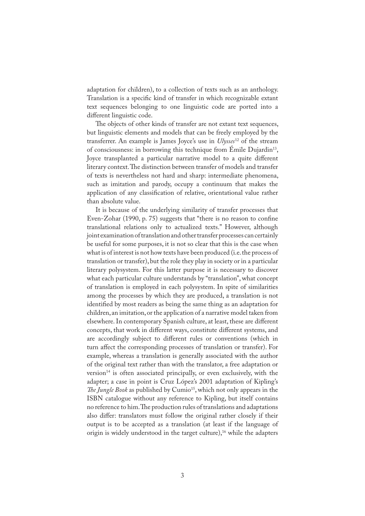adaptation for children), to a collection of texts such as an anthology. Translation is a specific kind of transfer in which recognizable extant text sequences belonging to one linguistic code are ported into a different linguistic code.

The objects of other kinds of transfer are not extant text sequences, but linguistic elements and models that can be freely employed by the transferrer. An example is James Joyce's use in *Ulysses*12 of the stream of consciousness: in borrowing this technique from Émile Dujardin<sup>13</sup>, Joyce transplanted a particular narrative model to a quite different literary context. The distinction between transfer of models and transfer of texts is nevertheless not hard and sharp: intermediate phenomena, such as imitation and parody, occupy a continuum that makes the application of any classi�cation of relative, orientational value rather than absolute value.

It is because of the underlying similarity of transfer processes that Even-Zohar  $(1990, p. 75)$  suggests that "there is no reason to confine translational relations only to actualized texts." However, although joint examination of translation and other transfer processes can certainly be useful for some purposes, it is not so clear that this is the case when what is of interest is not how texts have been produced (i.e.the process of translation or transfer), but the role they play in society or in a particular literary polysystem. For this latter purpose it is necessary to discover what each particular culture understands by "translation", what concept of translation is employed in each polysystem. In spite of similarities among the processes by which they are produced, a translation is not identified by most readers as being the same thing as an adaptation for children, an imitation, or the application of a narrative model taken from elsewhere. In contemporary Spanish culture, at least, these are different concepts, that work in different ways, constitute different systems, and are accordingly subject to different rules or conventions (which in turn affect the corresponding processes of translation or transfer). For example, whereas a translation is generally associated with the author of the original text rather than with the translator, a free adaptation or version $14$  is often associated principally, or even exclusively, with the adapter; a case in point is Cruz López's 2001 adaptation of Kipling's *The Jungle Book* as published by Cumio<sup>15</sup>, which not only appears in the ISBN catalogue without any reference to Kipling, but itself contains no reference to him. The production rules of translations and adaptations also differ: translators must follow the original rather closely if their output is to be accepted as a translation (at least if the language of origin is widely understood in the target culture),<sup>16</sup> while the adapters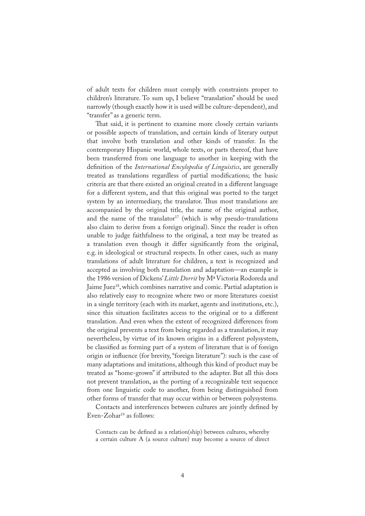of adult texts for children must comply with constraints proper to children's literature. To sum up, I believe "translation" should be used narrowly (though exactly how it is used will be culture-dependent), and "transfer" as a generic term.

That said, it is pertinent to examine more closely certain variants or possible aspects of translation, and certain kinds of literary output that involve both translation and other kinds of transfer*.* In the contemporary Hispanic world, whole texts, or parts thereof, that have been transferred from one language to another in keeping with the definition of the *International Encylopedia of Linguistics*, are generally treated as translations regardless of partial modifications; the basic criteria are that there existed an original created in a different language for a different system, and that this original was ported to the target system by an intermediary, the translator. Thus most translations are accompanied by the original title, the name of the original author, and the name of the translator<sup>17</sup> (which is why pseudo-translations also claim to derive from a foreign original). Since the reader is often unable to judge faithfulness to the original, a text may be treated as a translation even though it differ significantly from the original, e.g. in ideological or structural respects. In other cases, such as many translations of adult literature for children, a text is recognized and accepted as involving both translation and adaptation—an example is the 1986 version of Dickens' *Little Dorrit* by MªVictoria Rodoreda and Jaime Juez<sup>18</sup>, which combines narrative and comic. Partial adaptation is also relatively easy to recognize where two or more literatures coexist in a single territory (each with its market, agents and institutions, etc.), since this situation facilitates access to the original or to a different translation. And even when the extent of recognized differences from the original prevents a text from being regarded as a translation, it may nevertheless, by virtue of its known origins in a different polysystem, be classified as forming part of a system of literature that is of foreign origin or in�uence (for brevity, "foreign literature"): such is the case of many adaptations and imitations, although this kind of product may be treated as "home-grown" if attributed to the adapter. But all this does not prevent translation, as the porting of a recognizable text sequence from one linguistic code to another, from being distinguished from other forms of transfer that may occur within or between polysystems.

Contacts and interferences between cultures are jointly defined by Even-Zohar $19$  as follows:

Contacts can be defined as a relation(ship) between cultures, whereby a certain culture A (a source culture) may become a source of direct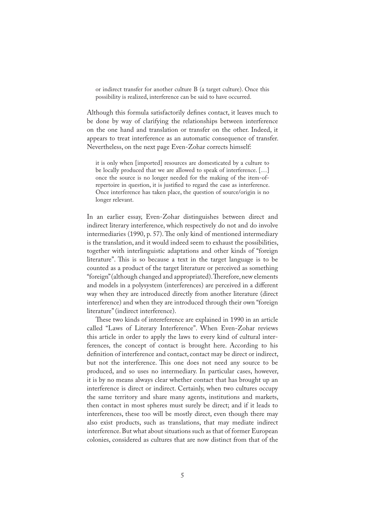or indirect transfer for another culture B (a target culture). Once this possibility is realized, interference can be said to have occurred.

Although this formula satisfactorily defines contact, it leaves much to be done by way of clarifying the relationships between interference on the one hand and translation or transfer on the other. Indeed, it appears to treat interference as an automatic consequence of transfer. Nevertheless, on the next page Even-Zohar corrects himself:

it is only when [imported] resources are domesticated by a culture to be locally produced that we are allowed to speak of interference. […] once the source is no longer needed for the making of the item-ofrepertoire in question, it is justified to regard the case as interference. Once interference has taken place, the question of source/origin is no longer relevant.

In an earlier essay, Even-Zohar distinguishes between direct and indirect literary interference, which respectively do not and do involve intermediaries (1990, p. 57). The only kind of mentioned intermediary is the translation, and it would indeed seem to exhaust the possibilities, together with interlinguistic adaptations and other kinds of "foreign literature". This is so because a text in the target language is to be counted as a product of the target literature or perceived as something "foreign" (although changed and appropriated). Therefore, new elements and models in a polysystem (interferences) are perceived in a different way when they are introduced directly from another literature (direct interference) and when they are introduced through their own "foreign literature" (indirect interference).

These two kinds of intereference are explained in 1990 in an article called "Laws of Literary Interference". When Even-Zohar reviews this article in order to apply the laws to every kind of cultural interferences, the concept of contact is brought here. According to his definition of interference and contact, contact may be direct or indirect, but not the interference. This one does not need any source to be produced, and so uses no intermediary. In particular cases, however, it is by no means always clear whether contact that has brought up an interference is direct or indirect. Certainly, when two cultures occupy the same territory and share many agents, institutions and markets, then contact in most spheres must surely be direct; and if it leads to interferences, these too will be mostly direct, even though there may also exist products, such as translations, that may mediate indirect interference. But what about situations such as that of former European colonies, considered as cultures that are now distinct from that of the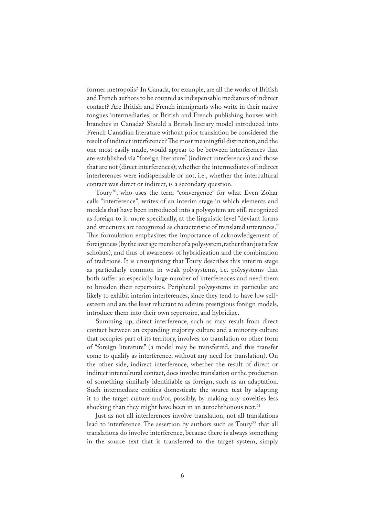former metropolis? In Canada, for example, are all the works of British and French authors to be counted as indispensable mediators of indirect contact? Are British and French immigrants who write in their native tongues intermediaries, or British and French publishing houses with branches in Canada? Should a British literary model introduced into French Canadian literature without prior translation be considered the result of indirect interference? The most meaningful distinction, and the one most easily made, would appear to be between interferences that are established via "foreign literature" (indirect interferences) and those that are not (direct interferences); whether the intermediates of indirect interferences were indispensable or not, i.e., whether the intercultural contact was direct or indirect, is a secondary question.

Toury<sup>20</sup>, who uses the term "convergence" for what Even-Zohar calls "interference", writes of an interim stage in which elements and models that have been introduced into a polysystem are still recognized as foreign to it: more specifically, at the linguistic level "deviant forms" and structures are recognized as characteristic of translated utterances." This formulation emphasizes the importance of acknowledgement of foreignness (by the average member of a polysystem, rather than just a few scholars), and thus of awareness of hybridization and the combination of traditions. It is unsurprising that Toury describes this interim stage as particularly common in weak polysystems, i.e. polysystems that both suffer an especially large number of interferences and need them to broaden their repertoires. Peripheral polysystems in particular are likely to exhibit interim interferences, since they tend to have low selfesteem and are the least reluctant to admire prestigious foreign models, introduce them into their own repertoire, and hybridize.

Summing up, direct interference, such as may result from direct contact between an expanding majority culture and a minority culture that occupies part of its territory, involves no translation or other form of "foreign literature" (a model may be transferred, and this transfer come to qualify as interference, without any need for translation). On the other side, indirect interference, whether the result of direct or indirect intercultural contact, does involve translation or the production of something similarly identi�able as foreign, such as an adaptation. Such intermediate entities domesticate the source text by adapting it to the target culture and/or, possibly, by making any novelties less shocking than they might have been in an autochthonous text. $21$ 

Just as not all interferences involve translation, not all translations lead to interference. The assertion by authors such as Toury<sup>22</sup> that all translations do involve interference, because there is always something in the source text that is transferred to the target system, simply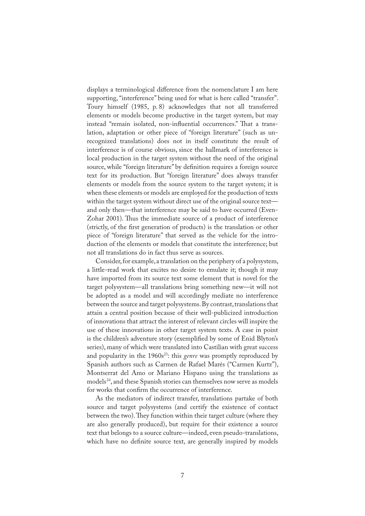displays a terminological difference from the nomenclature I am here supporting, "interference" being used for what is here called "transfer". Toury himself (1985, p. 8) acknowledges that not all transferred elements or models become productive in the target system, but may instead "remain isolated, non-influential occurrences." That a translation, adaptation or other piece of "foreign literature" (such as unrecognized translations) does not in itself constitute the result of interference is of course obvious, since the hallmark of interference is local production in the target system without the need of the original source, while "foreign literature" by definition requires a foreign source text for its production. But "foreign literature" does always transfer elements or models from the source system to the target system; it is when these elements or models are employed for the production of texts within the target system without direct use of the original source text and only then—that interference may be said to have occurred (Even-Zohar 2001). Thus the immediate source of a product of interference (strictly, of the �rst generation of products) is the translation or other piece of "foreign literature" that served as the vehicle for the introduction of the elements or models that constitute the interference; but not all translations do in fact thus serve as sources.

Consider, for example, a translation on the periphery of a polysystem, a little-read work that excites no desire to emulate it; though it may have imported from its source text some element that is novel for the target polysystem—all translations bring something new—it will not be adopted as a model and will accordingly mediate no interference between the source and target polysystems. By contrast, translations that attain a central position because of their well-publicized introduction of innovations that attract the interest of relevant circles will inspire the use of these innovations in other target system texts. A case in point is the children's adventure story (exemplified by some of Enid Blyton's series), many of which were translated into Castilian with great success and popularity in the 1960s<sup>23</sup>: this *genre* was promptly reproduced by Spanish authors such as Carmen de Rafael Marés ("Carmen Kurtz"), Montserrat del Amo or Mariano Hispano using the translations as models<sup>24</sup>, and these Spanish stories can themselves now serve as models for works that confirm the occurrence of interference.

As the mediators of indirect transfer, translations partake of both source and target polysystems (and certify the existence of contact between the two). They function within their target culture (where they are also generally produced), but require for their existence a source text that belongs to a source culture—indeed, even pseudo-translations, which have no definite source text, are generally inspired by models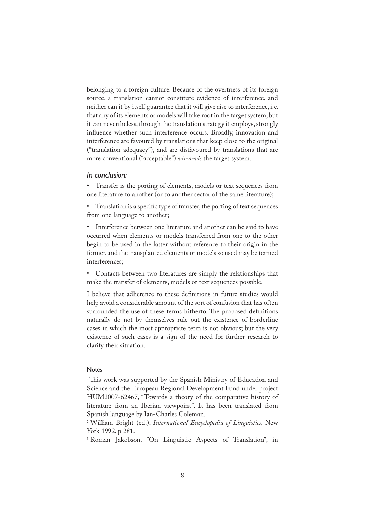belonging to a foreign culture. Because of the overtness of its foreign source, a translation cannot constitute evidence of interference, and neither can it by itself guarantee that it will give rise to interference, i.e. that any of its elements or models will take root in the target system; but it can nevertheless, through the translation strategy it employs, strongly influence whether such interference occurs. Broadly, innovation and interference are favoured by translations that keep close to the original ("translation adequacy"), and are disfavoured by translations that are more conventional ("acceptable") *vis-à-vis* the target system.

## *In conclusion:*

• Transfer is the porting of elements, models or text sequences from one literature to another (or to another sector of the same literature);

• Translation is a specific type of transfer, the porting of text sequences from one language to another;

• Interference between one literature and another can be said to have occurred when elements or models transferred from one to the other begin to be used in the latter without reference to their origin in the former, and the transplanted elements or models so used may be termed interferences;

• Contacts between two literatures are simply the relationships that make the transfer of elements, models or text sequences possible.

I believe that adherence to these de�nitions in future studies would help avoid a considerable amount of the sort of confusion that has often surrounded the use of these terms hitherto. The proposed definitions naturally do not by themselves rule out the existence of borderline cases in which the most appropriate term is not obvious; but the very existence of such cases is a sign of the need for further research to clarify their situation.

## Notes

<sup>1</sup>This work was supported by the Spanish Ministry of Education and Science and the European Regional Development Fund under project HUM2007-62467, "Towards a theory of the comparative history of literature from an Iberian viewpoint". It has been translated from Spanish language by Ian-Charles Coleman.

2 William Bright (ed.), *International Encyclopedia of Linguistics*, New York 1992, p 281.

3 Roman Jakobson, "On Linguistic Aspects of Translation", in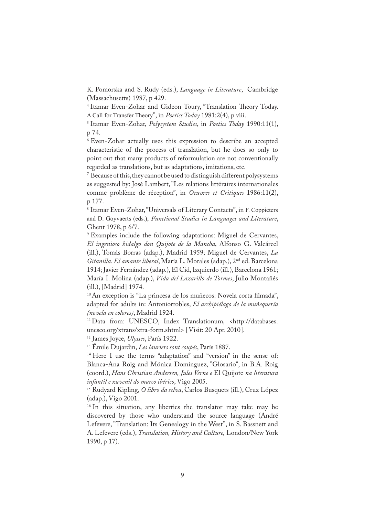K. Pomorska and S. Rudy (eds.), *Language in Literature*, Cambridge (Massachusetts) 1987, p 429.

<sup>4</sup> Itamar Even-Zohar and Gideon Toury, "Translation Theory Today. A Call for Transfer Theory", in *Poetics Today* 1981:2(4), p viii.

5 Itamar Even-Zohar, *Polysystem Studies*, in *Poetics Today* 1990:11(1), p 74.

6 Even-Zohar actually uses this expression to describe an accepted characteristic of the process of translation, but he does so only to point out that many products of reformulation are not conventionally regarded as translations, but as adaptations, imitations, etc.

 $\%$  Because of this, they cannot be used to distinguish different polysystems as suggested by: José Lambert, "Les relations littéraires internationales comme problème de réception", in *Oeuvres et Critiques* 1986:11(2), p 177.

8 Itamar Even-Zohar, "Universals of Literary Contacts", in F. Coppieters and D. Goyvaerts (eds.), *Functional Studies in Languages and Literature*, Ghent 1978, p 6/7.

9 Examples include the following adaptations: Miguel de Cervantes, *El ingenioso hidalgo don Quijote de la Mancha*, Alfonso G. Valcárcel (ill.), Tomás Borras (adap.), Madrid 1959; Miguel de Cervantes, *La Gitanilla. El amante liberal*, María L. Morales (adap.), 2nd ed. Barcelona 1914; Javier Fernández (adap.), El Cid, Izquierdo (ill.), Barcelona 1961; María I. Molina (adap.), *Vida del Lazarillo de Tormes*, Julio Montañés (ill.), [Madrid] 1974.

<sup>10</sup> An exception is "La princesa de los muñecos: Novela corta filmada", adapted for adults in: Antoniorrobles, *El archipiélago de la muñequería (novela en colores)*, Madrid 1924.

<sup>11</sup> Data from: UNESCO, Index Translationum*,* <http://databases. unesco.org/xtrans/xtra-form.shtml> [Visit: 20 Apr. 2010].

<sup>12</sup> James Joyce, *Ulysses*, París 1922.

<sup>13</sup> Émile Dujardin, *Les lauriers sont coupés*, París 1887.

14 Here I use the terms "adaptation" and "version" in the sense of: Blanca-Ana Roig and Mónica Domínguez, "Glosario", in B.A. Roig (coord.), *Hans Christian Andersen, Jules Verne e* El Quijote *na literatura infantil e xuvenil do marco ibérico*, Vigo 2005.

<sup>15</sup> Rudyard Kipling, *O libro da selva*, Carlos Busquets (ill.), Cruz López (adap.), Vigo 2001.

<sup>16</sup> In this situation, any liberties the translator may take may be discovered by those who understand the source language (André Lefevere, "Translation: Its Genealogy in the West", in S. Bassnett and A. Lefevere (eds.), *Translation, History and Culture,* London/New York 1990, p 17).